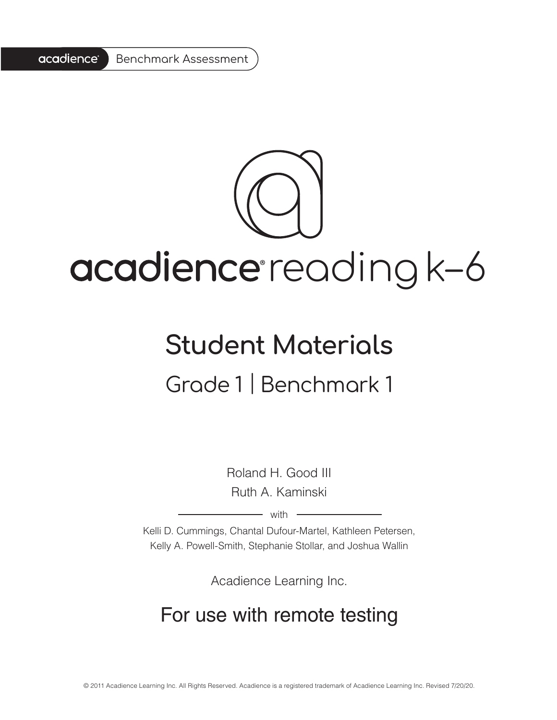

# acadience reading k-6

# **Student Materials** Grade 1 | Benchmark 1

Roland H. Good III Ruth A. Kaminski

 $-$  with  $-$ 

Kelli D. Cummings, Chantal Dufour-Martel, Kathleen Petersen, Kelly A. Powell-Smith, Stephanie Stollar, and Joshua Wallin

Acadience Learning Inc.

### For use with remote testing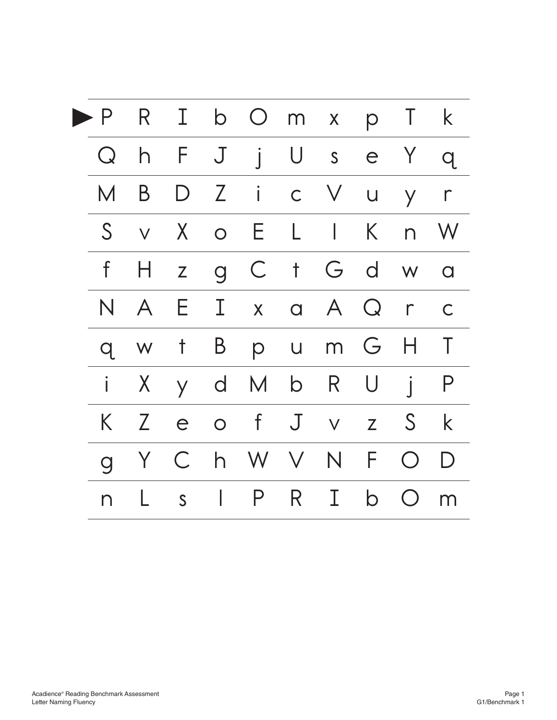| P              | $R_{\perp}$     |              |                | I b O m x p T k |              |             |        |              |                    |
|----------------|-----------------|--------------|----------------|-----------------|--------------|-------------|--------|--------------|--------------------|
| $\bf Q$        | $\overline{h}$  | F J          |                | j U s e Y       |              |             |        |              | q                  |
| M              | B               | $\mathsf{D}$ |                | $Z$ i           | $\mathsf{C}$ | $\vee$      | $\cup$ | $\mathsf{y}$ | $\Gamma$           |
| $\mathsf S$    | $\vee$          |              |                | X o E L I K     |              |             |        |              | n W                |
| $\mathsf f$    | H               | Z            | $\overline{g}$ | $\mathsf{C}$    | $\dagger$    |             | Gd     | W            | $\overline{a}$     |
| N              | A               | E.           | $\mathbf{I}$   | $\mathsf{X}$    |              | a A Q       |        | $\Gamma$     | $\mathsf C$        |
| $\mathsf{q}$   | W               | $\mathsf{t}$ | $\overline{B}$ | p               | $\bigcup$    |             | m G H  |              | T                  |
|                | X               |              | y d            | M b             |              | $R_{\perp}$ | U      | $\mathbf{i}$ | P                  |
| K.             | $Z_{\parallel}$ | e            |                | o f             | $\mathsf J$  | $\vee$      | Z      | $\mathsf{S}$ | k                  |
| $\overline{g}$ | Y               | $\mathsf{C}$ | h              | W V N           |              |             | F.     | $\bigcirc$   | $\mathsf{D}% _{T}$ |
| n              |                 | S            | l.             | P               | R            | Ι           | b      | $\bigcirc$   | m                  |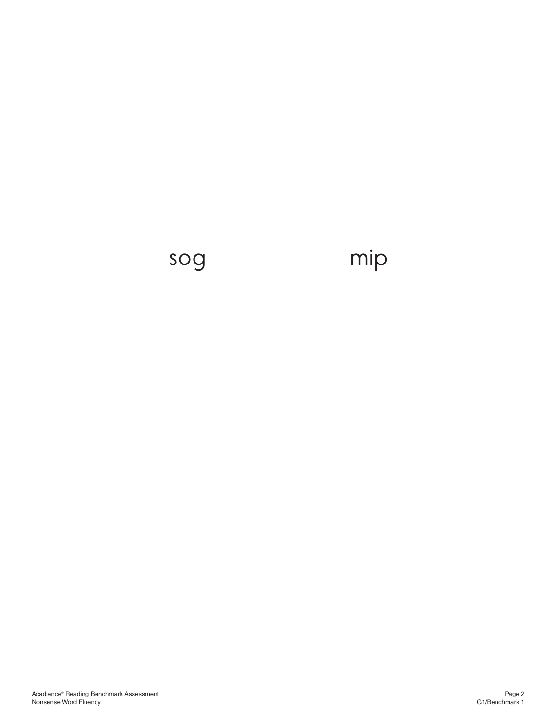## sog mip